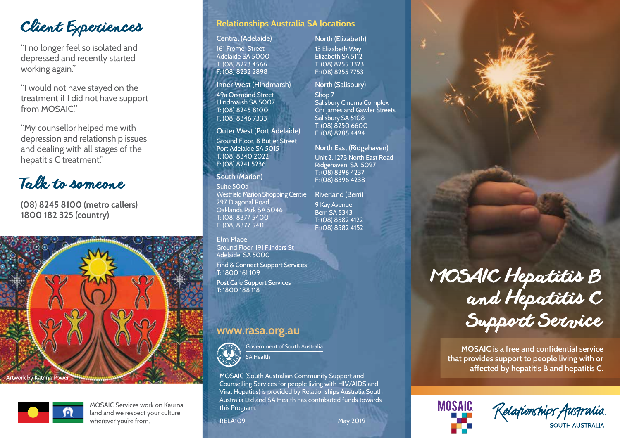Client Experiences

"I no longer feel so isolated and depressed and recently started working again."

"I would not have stayed on the treatment if I did not have support from MOSAIC"

"My counsellor helped me with depression and relationship issues and dealing with all stages of the hepatitis C treatment."

Talk to someone

**(08) 8245 8100 (metro callers) 1800 182 325 (country)**





**MOSAIC Services work on Kaurna** land and we respect your culture, wherever you're from.

# **Relationships Australia SA locations**

#### Central (Adelaide)

161 Frome Street Adelaide SA 5000 T: (08) 8223 4566 F: (08) 8232 2898

Inner West (Hindmarsh)

49a Orsmond Street Hindmarsh SA 5007 T: (08) 8245 8100 F: (08) 8346 7333

## Outer West (Port Adelaide)

Ground Floor, 8 Butler Street Port Adelaide SA 5015 T: (08) 8340 2022 F: (08) 8241 5236

South (Marion)

Suite 500a Westfield Marion Shopping Centre 297 Diagonal Road Oaklands Park SA 5046 T: (08) 8377 5400 F: (08) 8377 5411

## Elm Place

Ground Floor, 191 Flinders St Adelaide, SA 5000 Find & Connect Support Services

T: 1800 161 109 Post Care Support Services T: 1800 188 118

# www.rasa.org.au



MOSAIC (South Australian Community Support and Counselling Services for people living with HIV/AIDS and Viral Hepatitis) is provided by Relationships Australia South Australia Ltd and SA Health has contributed funds towards this Program.

RELAIO9 May 2019

## North (Elizabeth)

13 Elizabeth Way Elizabeth SA 5112 T: (08) 8255 3323 F: (08) 8255 7753

### North (Salisbury)

Shop 7 Salisbury Cinema Complex Cnr James and Gawler Streets Salisbury SA 5108 T: (08) 8250 6600 F: (08) 8285 4494

North East (Ridgehaven) Unit 2, 1273 North East Road Ridgehaven SA 5097 T: (08) 8396 4237 F: (08) 8396 4238

Riverland (Berri) 9 Kay Avenue Berri SA 5343 T: (08) 8582 4122 F: (08) 8582 4152

# MOSAIC Hepatitis B and Hepatitis C Support Service

**MOSAIC is a free and confidential service that provides support to people living with or affected by hepatitis B and hepatitis C.**